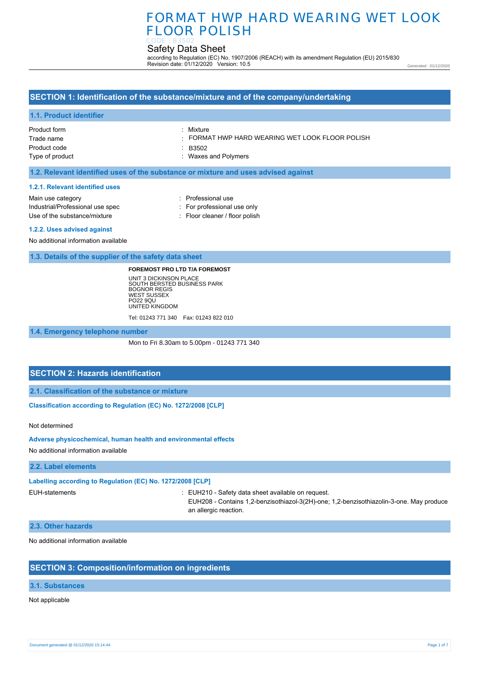# FORMAT HWP HARD WEARING WET LOOK FLOOR POLISH

#### Safety Data Sheet CODE : B3502

according to Regulation (EC) No. 1907/2006 (REACH) with its amendment Regulation (EU) 2015/830 Revision date: 01/12/2020 Version: 10.5

Generated : 01/12/2020

### **SECTION 1: Identification of the substance/mixture and of the company/undertaking**

#### **1.1. Product identifier**

Product form Trade name Product code Type of product : Mixture

: FORMAT HWP HARD WEARING WET LOOK FLOOR POLISH

: B3502

: Waxes and Polymers

### **1.2. Relevant identified uses of the substance or mixture and uses advised against**

#### **1.2.1. Relevant identified uses**

Main use category **intervalled Main use category intervalled Professional use** Industrial/Professional use spec : For professional use only Use of the substance/mixture : Floor cleaner / floor polish

#### **1.2.2. Uses advised against**

No additional information available

#### **1.3. Details of the supplier of the safety data sheet**

#### **FOREMOST PRO LTD T/A FOREMOST**

UNIT 3 DICKINSON PLACE SOUTH BERSTED BUSINESS PARK BOGNOR REGIS WEST SUSSEX PO22 9QU UNITED KINGDOM Tel: 01243 771 340 Fax: 01243 822 010

**1.4. Emergency telephone number**

Mon to Fri 8.30am to 5.00pm - 01243 771 340

## **SECTION 2: Hazards identification**

**2.1. Classification of the substance or mixture**

**Classification according to Regulation (EC) No. 1272/2008 [CLP]** 

Not determined

#### **Adverse physicochemical, human health and environmental effects**

No additional information available

#### **2.2. Label elements**

#### **Labelling according to Regulation (EC) No. 1272/2008 [CLP]**

EUH-statements : EUH210 - Safety data sheet available on request.

EUH208 - Contains 1,2-benzisothiazol-3(2H)-one; 1,2-benzisothiazolin-3-one. May produce an allergic reaction.

### **2.3. Other hazards**

No additional information available

## **SECTION 3: Composition/information on ingredients**

### **3.1. Substances**

Not applicable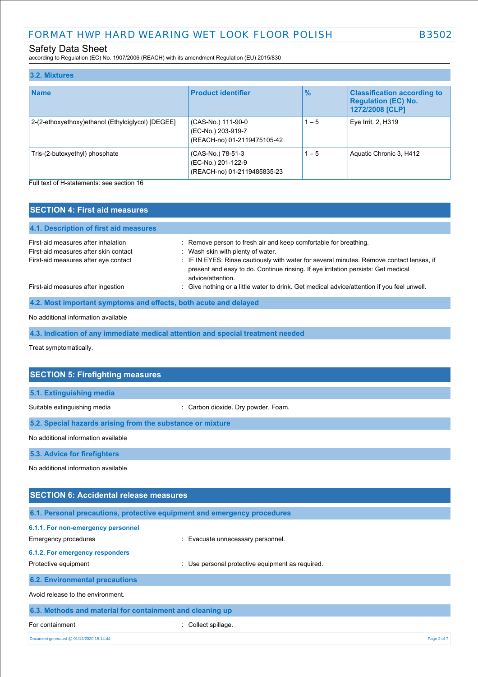according to Regulation (EC) No. 1907/2006 (REACH) with its amendment Regulation (EU) 2015/830

| 3.2. Mixtures                                     |                                                                         |               |                                                                                     |
|---------------------------------------------------|-------------------------------------------------------------------------|---------------|-------------------------------------------------------------------------------------|
| <b>Name</b>                                       | <b>Product identifier</b>                                               | $\frac{9}{6}$ | <b>Classification according to</b><br><b>Regulation (EC) No.</b><br>1272/2008 [CLP] |
| 2-(2-ethoxyethoxy)ethanol (Ethyldiglycol) [DEGEE] | (CAS-No.) 111-90-0<br>(EC-No.) 203-919-7<br>(REACH-no) 01-2119475105-42 | $1 - 5$       | Eye Irrit. 2, H319                                                                  |
| Tris-(2-butoxyethyl) phosphate                    | (CAS-No.) 78-51-3<br>(EC-No.) 201-122-9<br>(REACH-no) 01-2119485835-23  | $1 - 5$       | Aquatic Chronic 3, H412                                                             |

Full text of H-statements: see section 16

| <b>SECTION 4: First aid measures</b>                                                                                 |                                                                                                                                                                                                                                                                                                             |
|----------------------------------------------------------------------------------------------------------------------|-------------------------------------------------------------------------------------------------------------------------------------------------------------------------------------------------------------------------------------------------------------------------------------------------------------|
| 4.1. Description of first aid measures                                                                               |                                                                                                                                                                                                                                                                                                             |
| First-aid measures after inhalation<br>First-aid measures after skin contact<br>First-aid measures after eye contact | : Remove person to fresh air and keep comfortable for breathing.<br>: Wash skin with plenty of water.<br>: IF IN EYES: Rinse cautiously with water for several minutes. Remove contact lenses, if<br>present and easy to do. Continue rinsing. If eye irritation persists: Get medical<br>advice/attention. |
| First-aid measures after ingestion                                                                                   | : Give nothing or a little water to drink. Get medical advice/attention if you feel unwell.                                                                                                                                                                                                                 |
| 4.2. Most important symptoms and effects, both acute and delayed                                                     |                                                                                                                                                                                                                                                                                                             |
|                                                                                                                      |                                                                                                                                                                                                                                                                                                             |

### No additional information available

**4.3. Indication of any immediate medical attention and special treatment needed**

Treat symptomatically.

| <b>SECTION 5: Firefighting measures</b>                                  |                                                |
|--------------------------------------------------------------------------|------------------------------------------------|
| 5.1. Extinguishing media                                                 |                                                |
|                                                                          |                                                |
| Suitable extinguishing media                                             | Carbon dioxide. Dry powder. Foam.              |
| 5.2. Special hazards arising from the substance or mixture               |                                                |
| No additional information available                                      |                                                |
| 5.3. Advice for firefighters                                             |                                                |
| No additional information available                                      |                                                |
|                                                                          |                                                |
| <b>SECTION 6: Accidental release measures</b>                            |                                                |
| 6.1. Personal precautions, protective equipment and emergency procedures |                                                |
| 6.1.1. For non-emergency personnel                                       |                                                |
| Emergency procedures                                                     | Evacuate unnecessary personnel.                |
| 6.1.2. For emergency responders                                          |                                                |
| Protective equipment                                                     | Use personal protective equipment as required. |

## **6.2. Environmental precautions**

Avoid release to the environment.

| 6.3. Methods and material for containment and cleaning up |                     |  |
|-----------------------------------------------------------|---------------------|--|
| For containment                                           | : Collect spillage. |  |
| Document generated @ 01/12/2020 15:14:44                  | Page 2 of 7         |  |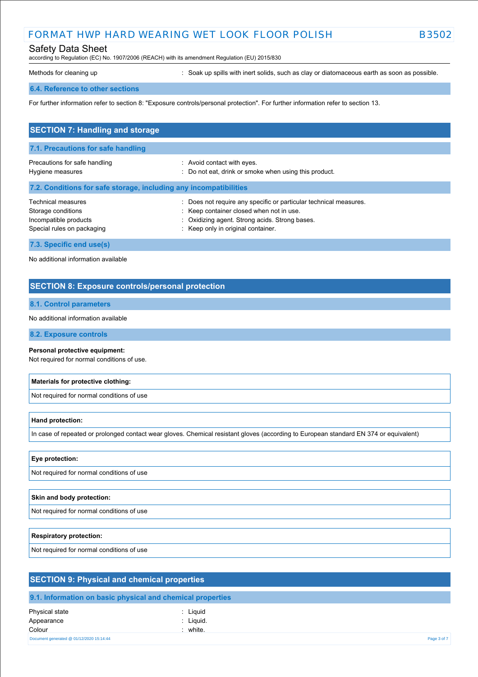## FORMAT HWP HARD WEARING WET LOOK FLOOR POLISH B3502

## Safety Data Sheet

according to Regulation (EC) No. 1907/2006 (REACH) with its amendment Regulation (EU) 2015/830

Methods for cleaning up **interpret in the spills with inert solids**, such as clay or diatomaceous earth as soon as possible.

#### **6.4. Reference to other sections**

For further information refer to section 8: "Exposure controls/personal protection". For further information refer to section 13.

| <b>SECTION 7: Handling and storage</b>                                                          |                                                                                                                                                                                                 |  |  |  |
|-------------------------------------------------------------------------------------------------|-------------------------------------------------------------------------------------------------------------------------------------------------------------------------------------------------|--|--|--|
| 7.1. Precautions for safe handling                                                              |                                                                                                                                                                                                 |  |  |  |
| Precautions for safe handling<br>Hygiene measures                                               | : Avoid contact with eyes.<br>: Do not eat, drink or smoke when using this product.                                                                                                             |  |  |  |
| 7.2. Conditions for safe storage, including any incompatibilities                               |                                                                                                                                                                                                 |  |  |  |
| Technical measures<br>Storage conditions<br>Incompatible products<br>Special rules on packaging | Does not require any specific or particular technical measures.<br>Keep container closed when not in use.<br>Oxidizing agent. Strong acids. Strong bases.<br>: Keep only in original container. |  |  |  |
| 7.3. Specific end use(s)                                                                        |                                                                                                                                                                                                 |  |  |  |

No additional information available

### **SECTION 8: Exposure controls/personal protection**

### **8.1. Control parameters**

No additional information available

### **8.2. Exposure controls**

#### **Personal protective equipment:**

Not required for normal conditions of use.

#### **Materials for protective clothing:**

Not required for normal conditions of use

#### **Hand protection:**

In case of repeated or prolonged contact wear gloves. Chemical resistant gloves (according to European standard EN 374 or equivalent)

### **Eye protection:**

Not required for normal conditions of use

#### **Skin and body protection:**

Not required for normal conditions of use

#### **Respiratory protection:**

Not required for normal conditions of use

| <b>SECTION 9: Physical and chemical properties</b> |                                                            |  |
|----------------------------------------------------|------------------------------------------------------------|--|
|                                                    | 9.1. Information on basic physical and chemical properties |  |
| Physical state<br>Appearance<br>Colour             | : Liguid<br>: Liguid.<br>$:$ white.                        |  |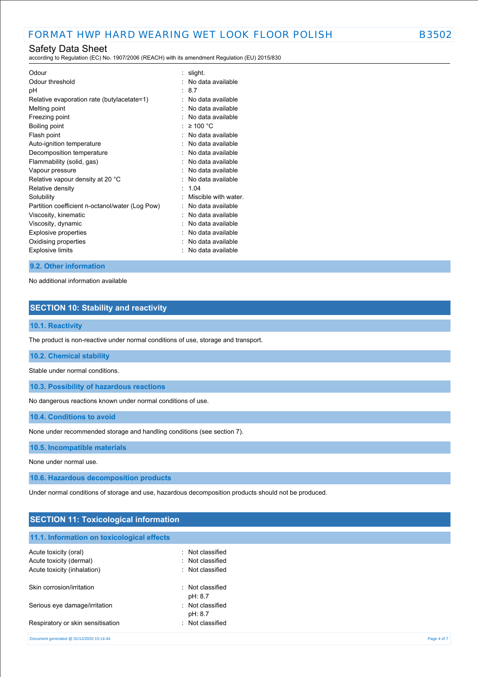according to Regulation (EC) No. 1907/2006 (REACH) with its amendment Regulation (EU) 2015/830

| Odour                                           | slight.             |
|-------------------------------------------------|---------------------|
| Odour threshold                                 | No data available   |
| рH                                              | 87                  |
| Relative evaporation rate (butylacetate=1)      | No data available   |
| Melting point                                   | No data available   |
| Freezing point                                  | No data available   |
| Boiling point                                   | $\geq 100$ °C       |
| Flash point                                     | No data available   |
| Auto-ignition temperature                       | No data available   |
| Decomposition temperature                       | No data available   |
| Flammability (solid, gas)                       | No data available   |
| Vapour pressure                                 | No data available   |
| Relative vapour density at 20 °C                | No data available   |
| Relative density                                | 104                 |
| Solubility                                      | Miscible with water |
| Partition coefficient n-octanol/water (Log Pow) | No data available   |
| Viscosity, kinematic                            | No data available   |
| Viscosity, dynamic                              | No data available   |
| <b>Explosive properties</b>                     | No data available   |
| Oxidising properties                            | No data available   |
| <b>Explosive limits</b>                         | No data available   |
|                                                 |                     |

### **9.2. Other information**

No additional information available

## **SECTION 10: Stability and reactivity**

### **10.1. Reactivity**

The product is non-reactive under normal conditions of use, storage and transport.

### **10.2. Chemical stability**

Stable under normal conditions.

**10.3. Possibility of hazardous reactions**

No dangerous reactions known under normal conditions of use.

**10.4. Conditions to avoid**

None under recommended storage and handling conditions (see section 7).

#### **10.5. Incompatible materials**

None under normal use.

**10.6. Hazardous decomposition products**

Under normal conditions of storage and use, hazardous decomposition products should not be produced.

### **SECTION 11: Toxicological information**

## **11.1. Information on toxicological effects**

| Acute toxicity (oral)                    | Not classified            |             |
|------------------------------------------|---------------------------|-------------|
| Acute toxicity (dermal)                  | : Not classified          |             |
| Acute toxicity (inhalation)              | Not classified            |             |
| Skin corrosion/irritation                | Not classified<br>pH: 8.7 |             |
| Serious eye damage/irritation            | Not classified<br>pH: 8.7 |             |
| Respiratory or skin sensitisation        | Not classified            |             |
| Document generated @ 01/12/2020 15:14:44 |                           | Page 4 of 7 |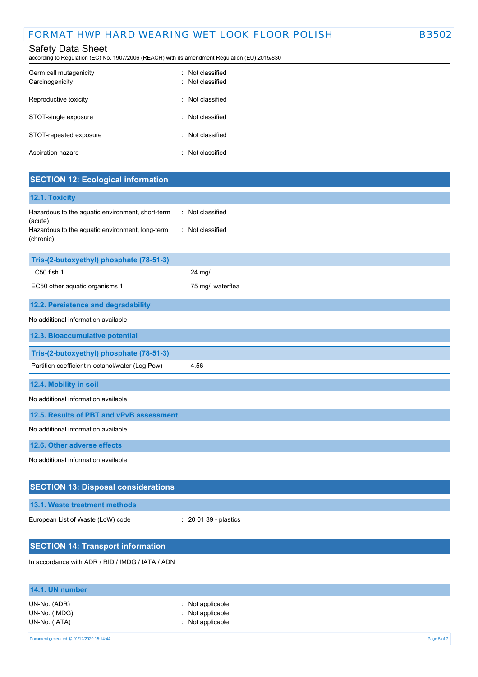according to Regulation (EC) No. 1907/2006 (REACH) with its amendment Regulation (EU) 2015/830

| Germ cell mutagenicity<br>Carcinogenicity | · Not classified<br>· Not classified |
|-------------------------------------------|--------------------------------------|
| Reproductive toxicity                     | · Not classified                     |
| STOT-single exposure                      | : Not classified                     |
| STOT-repeated exposure                    | : Not classified                     |
| Aspiration hazard                         | : Not classified                     |

## **SECTION 12: Ecological information**

| <b>12.1. Toxicity</b>                                        |                |
|--------------------------------------------------------------|----------------|
| Hazardous to the aquatic environment, short-term<br>(acute)  | Not classified |
| Hazardous to the aquatic environment, long-term<br>(chronic) | Not classified |

| Tris-(2-butoxyethyl) phosphate (78-51-3)            |         |  |
|-----------------------------------------------------|---------|--|
| LC50 fish 1                                         | 24 mg/l |  |
| EC50 other aquatic organisms 1<br>75 mg/l waterflea |         |  |
|                                                     |         |  |

## **12.2. Persistence and degradability**

### No additional information available

| <u>tio auditional information available</u>     |      |
|-------------------------------------------------|------|
| 12.3. Bioaccumulative potential                 |      |
| Tris-(2-butoxyethyl) phosphate (78-51-3)        |      |
| Partition coefficient n-octanol/water (Log Pow) | 4.56 |
| 12.4. Mobility in soil                          |      |

No additional information available

**12.5. Results of PBT and vPvB assessment**

No additional information available

**12.6. Other adverse effects**

No additional information available

| <b>SECTION 13: Disposal considerations</b>       |                                  |
|--------------------------------------------------|----------------------------------|
| 13.1. Waste treatment methods                    |                                  |
| European List of Waste (LoW) code                | $\therefore$ 20 01 39 - plastics |
| <b>SECTION 14: Transport information</b>         |                                  |
| In accordance with ADR / RID / IMDG / IATA / ADN |                                  |

| 14.1. UN number                                |                                                            |             |
|------------------------------------------------|------------------------------------------------------------|-------------|
| UN-No. (ADR)<br>UN-No. (IMDG)<br>UN-No. (IATA) | $:$ Not applicable<br>: Not applicable<br>: Not applicable |             |
| Document generated @ 01/12/2020 15:14:44       |                                                            | Page 5 of 7 |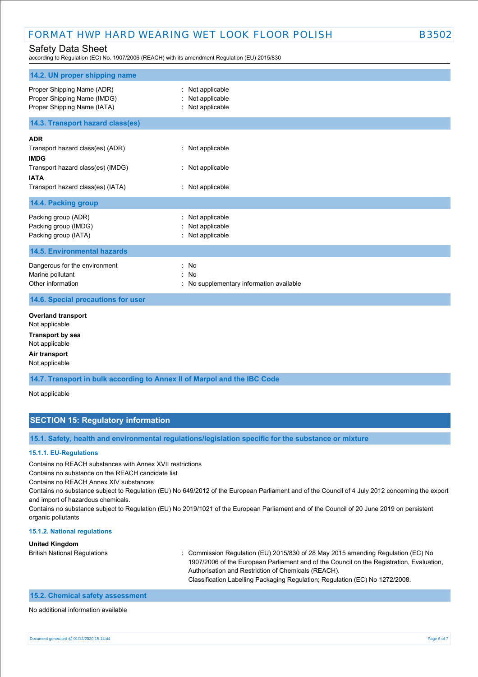## FORMAT HWP HARD WEARING WET LOOK FLOOR POLISH B3502

## Safety Data Sheet

according to Regulation (EC) No. 1907/2006 (REACH) with its amendment Regulation (EU) 2015/830

| 14.2. UN proper shipping name                                                                                                                          |                                                               |
|--------------------------------------------------------------------------------------------------------------------------------------------------------|---------------------------------------------------------------|
| Proper Shipping Name (ADR)<br>Proper Shipping Name (IMDG)<br>Proper Shipping Name (IATA)                                                               | : Not applicable<br>Not applicable<br>: Not applicable        |
| 14.3. Transport hazard class(es)                                                                                                                       |                                                               |
| <b>ADR</b><br>Transport hazard class(es) (ADR)<br><b>IMDG</b><br>Transport hazard class(es) (IMDG)<br><b>IATA</b><br>Transport hazard class(es) (IATA) | : Not applicable<br>: Not applicable<br>: Not applicable      |
| 14.4. Packing group                                                                                                                                    |                                                               |
| Packing group (ADR)<br>Packing group (IMDG)<br>Packing group (IATA)                                                                                    | : Not applicable<br>Not applicable<br>: Not applicable        |
| <b>14.5. Environmental hazards</b>                                                                                                                     |                                                               |
| Dangerous for the environment<br>Marine pollutant<br>Other information                                                                                 | : No<br><b>No</b><br>: No supplementary information available |
| 14.6. Special precautions for user                                                                                                                     |                                                               |
| <b>Overland transport</b><br>Not applicable<br><b>Transport by sea</b><br>Not applicable<br>Air transport<br>Not applicable                            |                                                               |
| 14.7. Transport in bulk according to Annex II of Marpol and the IBC Code                                                                               |                                                               |

Not applicable

## **SECTION 15: Regulatory information**

**15.1. Safety, health and environmental regulations/legislation specific for the substance or mixture**

### **15.1.1. EU-Regulations**

Contains no REACH substances with Annex XVII restrictions

Contains no substance on the REACH candidate list

Contains no REACH Annex XIV substances

Contains no substance subject to Regulation (EU) No 649/2012 of the European Parliament and of the Council of 4 July 2012 concerning the export and import of hazardous chemicals.

Contains no substance subject to Regulation (EU) No 2019/1021 of the European Parliament and of the Council of 20 June 2019 on persistent organic pollutants

#### **15.1.2. National regulations**

#### **United Kingdom**

British National Regulations : Commission Regulation (EU) 2015/830 of 28 May 2015 amending Regulation (EC) No 1907/2006 of the European Parliament and of the Council on the Registration, Evaluation, Authorisation and Restriction of Chemicals (REACH). Classification Labelling Packaging Regulation; Regulation (EC) No 1272/2008.

### **15.2. Chemical safety assessment**

#### No additional information available